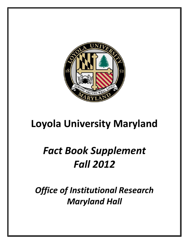

# **Loyola University Maryland**

# *Fact Book Supplement Fall 2012*

*Office of Institutional Research Maryland Hall*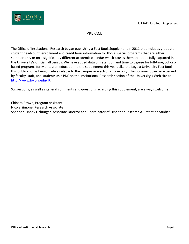#### PREFACE

The Office of Institutional Research began publishing a Fact Book Supplement in 2011 that includes graduate student headcount, enrollment and credit hour information for those special programs that are either summer-only or on a significantly different academic calendar which causes them to not be fully captured in the University's official fall census. We have added data on retention and time to degree for full-time, cohortbased programs for Montessori education to the supplement this year. Like the Loyola University Fact Book, this publication is being made available to the campus in electronic form only. The document can be accessed by faculty, staff, and students as a PDF on the Institutional Research section of the University's Web site at [http://www.loyola.edu/IR.](http://www.loyola.edu/IR)

Suggestions, as well as general comments and questions regarding this supplement, are always welcome.

Chinara Brown, Program Assistant Nicole Simone, Research Associate Shannon Tinney Lichtinger, Associate Director and Coordinator of First-Year Research & Retention Studies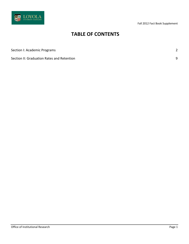

## **TABLE OF CONTENTS**

[Section I: Academic Programs](#page-3-0) 2014

[Section II: Graduation Rates and Retention](#page-10-0) 9

Office of Institutional Research **Page 1** and 2008 and 2008 and 2008 and 2008 and 2008 and 2008 and 2008 and 2008 and 2008 and 2008 and 2008 and 2008 and 2008 and 2008 and 2008 and 2008 and 2008 and 2008 and 2008 and 2008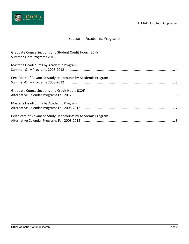

### Section I: Academic Programs

<span id="page-3-0"></span>

| Graduate Course Sections and Student Credit Hours (SCH)      |  |
|--------------------------------------------------------------|--|
| Master's Headcounts by Academic Program                      |  |
| Certificate of Advanced Study Headcounts by Academic Program |  |
| Graduate Course Sections and Credit Hours (SCH)              |  |
| Master's Headcounts by Academic Program                      |  |
| Certificate of Advanced Study Headcounts by Academic Program |  |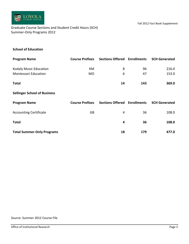

<span id="page-4-0"></span>Graduate Course Sections and Student Credit Hours (SCH) Summer-Only Programs 2012

#### **School of Education**

| <b>Program Name</b>                 | <b>Course Prefixes</b> | <b>Sections Offered Enrollments</b> |     | <b>SCH Generated</b> |
|-------------------------------------|------------------------|-------------------------------------|-----|----------------------|
| Kodaly Music Education              | KM                     | 8                                   | 96  | 216.0                |
| <b>Montessori Education</b>         | <b>MO</b>              | 6                                   | 47  | 153.0                |
| <b>Total</b>                        |                        | 14                                  | 143 | 369.0                |
| <b>Sellinger School of Business</b> |                        |                                     |     |                      |
| <b>Program Name</b>                 | <b>Course Prefixes</b> | <b>Sections Offered Enrollments</b> |     | <b>SCH Generated</b> |
| <b>Accounting Certificate</b>       | GB                     | 4                                   | 36  | 108.0                |
| <b>Total</b>                        |                        | 4                                   | 36  | 108.0                |
| <b>Total Summer-Only Programs</b>   |                        | 18                                  | 179 | 477.0                |

#### Source: Summer 2012 Course File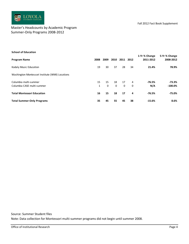

#### <span id="page-5-0"></span>Master's Headcounts by Academic Program Summer-Only Programs 2008-2012

| <b>School of Education</b>                      |              |          |             |          |          |                            |                            |
|-------------------------------------------------|--------------|----------|-------------|----------|----------|----------------------------|----------------------------|
| <b>Program Name</b>                             | 2008         | 2009     | 2010        | 2011     | 2012     | 1-Yr % Change<br>2011-2012 | 5-Yr % Change<br>2008-2012 |
| Kodaly Music Education                          | 19           | 30       | 37          | 28       | 34       | 21.4%                      | 78.9%                      |
| Washington Montessori Institute (WMI) Locations |              |          |             |          |          |                            |                            |
| Columbia multi-summer                           | 15           | 15       | 18          | 17       | 4        | $-76.5%$                   | $-73.3%$                   |
| Columbia CASE multi-summer                      | $\mathbf{1}$ | $\Omega$ | $\mathbf 0$ | $\Omega$ | $\Omega$ | N/A                        | $-100.0\%$                 |
| <b>Total Montessori Education</b>               | 16           | 15       | 18          | 17       | 4        | $-76.5%$                   | $-75.0%$                   |
| <b>Total Summer-Only Programs</b>               | 35           | 45       | 55          | 45       | 38       | $-15.6%$                   | 8.6%                       |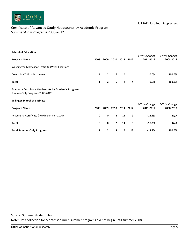

#### <span id="page-6-0"></span>Certificate of Advanced Study Headcounts by Academic Program Summer-Only Programs 2008-2012

| <b>School of Education</b>                                                                   |              |                |                |      |                |                            |                            |
|----------------------------------------------------------------------------------------------|--------------|----------------|----------------|------|----------------|----------------------------|----------------------------|
| <b>Program Name</b>                                                                          | 2008         | 2009           | 2010           | 2011 | 2012           | 1-Yr % Change<br>2011-2012 | 5-Yr % Change<br>2008-2012 |
| Washington Montessori Institute (WMI) Locations                                              |              |                |                |      |                |                            |                            |
| Columbia CASE multi-summer                                                                   | $\mathbf{1}$ | $\overline{2}$ | 6              | 4    | $\overline{4}$ | 0.0%                       | 300.0%                     |
| <b>Total</b>                                                                                 | 1            | $\mathbf{2}$   | 6              | 4    | 4              | 0.0%                       | 300.0%                     |
| <b>Graduate Certificate Headcounts by Academic Program</b><br>Summer-Only Programs 2008-2012 |              |                |                |      |                |                            |                            |
| <b>Sellinger School of Business</b>                                                          |              |                |                |      |                |                            |                            |
| <b>Program Name</b>                                                                          | 2008         | 2009           | 2010           | 2011 | 2012           | 1-Yr % Change<br>2011-2012 | 5-Yr % Change<br>2008-2012 |
| Accounting Certificate (new in Summer 2010)                                                  | 0            | $\mathbf 0$    | $\overline{2}$ | 11   | 9              | $-18.2%$                   | N/A                        |
| Total                                                                                        | 0            | 0              | $\mathbf{2}$   | 11   | 9              | $-18.2%$                   | N/A                        |
| <b>Total Summer-Only Programs</b>                                                            | 1            | 2              | 8              | 15   | 13             | $-13.3%$                   | 1200.0%                    |

Source: Summer Student files Note: Data collection for Montessori multi-summer programs did not begin until summer 2008.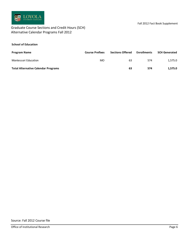

#### <span id="page-7-0"></span>Graduate Course Sections and Credit Hours (SCH) Alternative Calendar Programs Fall 2012

#### **School of Education**

| <b>Program Name</b>                        | <b>Course Prefixes</b> | <b>Sections Offered</b> | <b>Enrollments</b> | <b>SCH Generated</b> |
|--------------------------------------------|------------------------|-------------------------|--------------------|----------------------|
| Montessori Education                       | MO                     | 63                      | 574                | 1.575.0              |
| <b>Total Alternative Calendar Programs</b> |                        | 63                      | 574                | 1.575.0              |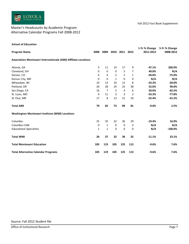

#### <span id="page-8-0"></span>Master's Headcounts by Academic Program Alternative Calendar Programs Fall 2008-2012

| <b>School of Education</b>                                      |                |              |              |                |                |               |               |
|-----------------------------------------------------------------|----------------|--------------|--------------|----------------|----------------|---------------|---------------|
|                                                                 |                |              |              |                |                | 1-Yr % Change | 5-Yr % Change |
| <b>Program Name</b>                                             | 2008           | 2009         |              | 2010 2011 2012 |                | 2011-2012     | 2008-2012     |
| Association Montessori Internationale (AMI) Affiliate Locations |                |              |              |                |                |               |               |
| Atlanta, GA                                                     | 3              | 11           | 14           | $17\,$         | 9              | $-47.1%$      | 200.0%        |
| Cleveland, OH                                                   | $\pmb{0}$      | $\pmb{0}$    | $\pmb{0}$    | 5              | 7              | 40.0%         | N/A           |
| Denver, CO                                                      | $\overline{4}$ | 4            | 3            | $\overline{2}$ | $\mathbf{1}$   | $-50.0%$      | $-75.0%$      |
| Kansas City, MO                                                 | 0              | 0            | $\mathbf{1}$ | $\pmb{0}$      | 0              | N/A           | N/A           |
| Milwaukee, WI                                                   | 10             | 13           | 10           | 12             | 8              | $-33.3%$      | $-20.0%$      |
| Portland, OR                                                    | 20             | 28           | 24           | 25             | 38             | 52.0%         | 90.0%         |
| San Diego, CA                                                   | 16             | 7            | 5            | $\pmb{4}$      | 6              | 50.0%         | $-62.5%$      |
| St. Louis, MO                                                   | 9              | 11           | 3            | 3              | $\overline{2}$ | $-33.3%$      | $-77.8%$      |
| St. Paul, MN                                                    | 17             | 8            | 13           | 21             | $10\,$         | $-52.4%$      | $-41.2%$      |
| <b>Total AMI</b>                                                | 79             | 82           | 73           | 89             | 81             | $-9.0%$       | 2.5%          |
| Washington Montessori Institute (WMI) Locations                 |                |              |              |                |                |               |               |
| Columbia                                                        | 25             | 35           | 32           | 36             | 29             | $-19.4%$      | 16.0%         |
| Columbia CASE                                                   | $\pmb{0}$      | $\mathbf{1}$ | $\pmb{0}$    | $\pmb{0}$      | 3              | N/A           | N/A           |
| <b>Educational Specialties</b>                                  | $\mathbf{1}$   | $\mathbf{1}$ | $\mathbf 0$  | $\pmb{0}$      | 0              | N/A           | $-100.0%$     |
| <b>Total WMI</b>                                                | 26             | 37           | 32           | 36             | 32             | $-11.1%$      | 23.1%         |
| <b>Total Montessori Education</b>                               | 105            | 119          | 105          | 125            | 113            | $-9.6%$       | 7.6%          |
| <b>Total Alternative Calendar Programs</b>                      | 105            | 119          | 105          | 125            | 113            | $-9.6%$       | 7.6%          |
|                                                                 |                |              |              |                |                |               |               |
| Source: Fall 2012 Student file                                  |                |              |              |                |                |               |               |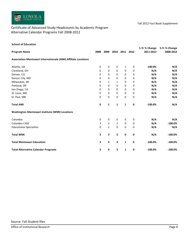

#### <span id="page-9-0"></span>Certificate of Advanced Study Headcounts by Academic Program Alternative Calendar Programs Fall 2008-2012

| <b>School of Education</b>                                      |             |                |                     |              |           |                            |                           |
|-----------------------------------------------------------------|-------------|----------------|---------------------|--------------|-----------|----------------------------|---------------------------|
| <b>Program Name</b>                                             | 2008        |                | 2009 2010 2011 2012 |              |           | 1-Yr % Change<br>2011-2012 | 5-Yr% Change<br>2008-2012 |
| Association Montessori Internationale (AMI) Affiliate Locations |             |                |                     |              |           |                            |                           |
| Atlanta, GA                                                     | $\pmb{0}$   | $\pmb{0}$      | 0                   | $\mathbf{1}$ | $\pmb{0}$ | $-100.0%$                  | N/A                       |
| Cleveland, OH                                                   | 0           | 0              | 0                   | $\pmb{0}$    | 0         | N/A                        | N/A                       |
| Denver, CO                                                      | $\mathbf 0$ | 0              | 0                   | 0            | 0         | N/A                        | N/A                       |
| Kansas City, MO                                                 | 0           | 0              | 0                   | 0            | $\pmb{0}$ | N/A                        | N/A                       |
| Milwaukee, WI                                                   | $\mathbf 0$ | 1              | $\mathbf{1}$        | $\pmb{0}$    | $\pmb{0}$ | N/A                        | N/A                       |
| Portland, OR                                                    | 0           | 0              | 0                   | 0            | $\pmb{0}$ | N/A                        | N/A                       |
| San Diego, CA                                                   | 0           | 0              | 0                   | 0            | 0         | N/A                        | N/A                       |
| St. Louis, MO                                                   | 0           | 0              | 0                   | 0            | $\pmb{0}$ | N/A                        | N/A                       |
| St. Paul, MN                                                    | 0           | 0              | 0                   | 0            | 0         | N/A                        | N/A                       |
| <b>Total AMI</b>                                                | $\pmb{0}$   | $\mathbf{1}$   | $\mathbf{1}$        | $\mathbf 1$  | $\pmb{0}$ | $-100.0%$                  | N/A                       |
| Washington Montessori Institute (WMI) Locations                 |             |                |                     |              |           |                            |                           |
| Columbia                                                        | 0           | $\pmb{0}$      | $\pmb{0}$           | $\pmb{0}$    | $\pmb{0}$ | N/A                        | N/A                       |
| Columbia CASE                                                   | 3           | $\overline{2}$ | $\overline{2}$      | $\pmb{0}$    | $\pmb{0}$ | N/A                        | $-100.0%$                 |
| <b>Educational Specialties</b>                                  | $\pmb{0}$   | $\mathbf 1$    | $\pmb{0}$           | $\pmb{0}$    | $\pmb{0}$ | N/A                        | N/A                       |
| <b>Total WMI</b>                                                | 3           | 3              | 2                   | $\pmb{0}$    | $\pmb{0}$ | N/A                        | $-100.0\%$                |
| <b>Total Montessori Education</b>                               | 3           | 4              | 3                   | $\mathbf{1}$ | 0         | $-100.0%$                  | $-100.0%$                 |
| <b>Total Alternative Calendar Programs</b>                      | 3           | 4              | 3                   | $\mathbf{1}$ | $\pmb{0}$ | $-100.0\%$                 | $-100.0%$                 |
|                                                                 |             |                |                     |              |           |                            |                           |
|                                                                 |             |                |                     |              |           |                            |                           |
|                                                                 |             |                |                     |              |           |                            |                           |
|                                                                 |             |                |                     |              |           |                            |                           |
|                                                                 |             |                |                     |              |           |                            |                           |
|                                                                 |             |                |                     |              |           |                            |                           |
|                                                                 |             |                |                     |              |           |                            |                           |
|                                                                 |             |                |                     |              |           |                            |                           |
|                                                                 |             |                |                     |              |           |                            |                           |
| Source: Fall Student files                                      |             |                |                     |              |           |                            |                           |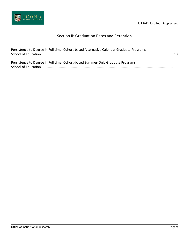

### Section II: Graduation Rates and Retention

<span id="page-10-0"></span>

| Persistence to Degree in Full time, Cohort-based Alternative Calendar Graduate Programs |  |
|-----------------------------------------------------------------------------------------|--|
|                                                                                         |  |
|                                                                                         |  |
| Persistence to Degree in Full time, Cohort-based Summer-Only Graduate Programs          |  |
|                                                                                         |  |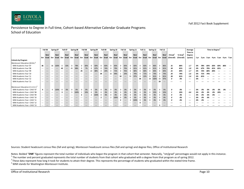

#### Persistence to Degree in Full time, Cohort-based Alternative Calendar Graduate Programs School of Education

<span id="page-11-0"></span>

|                                              |          |         | Fall 06<br>Spring 07 |                                                                             | Fall 07  |       | Spring 08 |          | Fall 08 |       | Spring 09 |        | Fall 09        |          |       | Spring 10 |                          | Fall 10 | Spring 11      |       |              | Fall 11 |          | Spring 12 |          | Fall 12 |                                                             |           | Time to Degree <sup>2</sup><br>Average |    |     |      |     |       |          |                                   |
|----------------------------------------------|----------|---------|----------------------|-----------------------------------------------------------------------------|----------|-------|-----------|----------|---------|-------|-----------|--------|----------------|----------|-------|-----------|--------------------------|---------|----------------|-------|--------------|---------|----------|-----------|----------|---------|-------------------------------------------------------------|-----------|----------------------------------------|----|-----|------|-----|-------|----------|-----------------------------------|
|                                              |          |         |                      |                                                                             |          |       |           |          |         |       |           |        |                |          |       |           |                          |         |                |       |              |         |          |           |          |         |                                                             |           | Time to                                |    |     |      |     |       |          |                                   |
|                                              |          | Ret/    |                      | Ret/                                                                        |          | Ret/  |           | Ret/     |         | Ret/  |           | Ret/   |                | Ret/     |       | Ret/      |                          | Ret/    |                | Ret/  |              | Ret/    |          | Ret/      |          | Ret/    | # Grad <del>'</del>                                         | % Grad    | Degree                                 |    |     |      |     |       |          |                                   |
|                                              |          |         |                      | Enr Grad Enr Grad Enr Grad Enr Grad Enr Grad Enr Grad Enr Grad Enr Grad Enr |          |       |           |          |         |       |           |        |                |          |       |           |                          |         |                |       |              |         |          |           |          |         | Grad Enr Grad Enr Grad Enr Grad Enr Grad Enr Grad (Overall) | (Overall) | (years)                                |    |     |      |     |       |          | 1yr 2yrs 3yrs 4yrs 5yrs 6yrs 7yrs |
| <b>Cohorts by Program</b>                    |          |         |                      |                                                                             |          |       |           |          |         |       |           |        |                |          |       |           |                          |         |                |       |              |         |          |           |          |         |                                                             |           |                                        |    |     |      |     |       |          |                                   |
| Montessori Education (M.Ed.) <sup>3</sup>    |          |         |                      |                                                                             |          |       |           |          |         |       |           |        |                |          |       |           |                          |         |                |       |              |         |          |           |          |         |                                                             |           |                                        |    |     |      |     |       |          |                                   |
| WMI Academic Year '07                        | 36       | $---$   |                      | 36 100%                                                                     | $\Omega$ | 33%   | $\Omega$  | 78%      |         | 83%   | $\Omega$  | 83%    |                | 83%      |       | 83%       |                          | 83%     |                | 83%   | $\Omega$     | 83%     |          | 86%       |          | 86%     | 31                                                          | 86%       | 1.7                                    | 0% | 78% | 83%  | 83% |       |          |                                   |
| WMI Academic Year '08                        | $\cdots$ | $---$   | $--$                 | $\cdots$                                                                    | 42       | $---$ | 41        | 98%      |         | 7%    | $\Omega$  | 67%    |                | 74%      |       | 79%       |                          | 79%     |                | 81%   |              | 81%     |          |           |          | 81%     | 34                                                          | 81%       | 1.8                                    | 0% | 67% | 79%  | 81% | -81%  |          | $- - -$                           |
| WMI Academic Year '09                        | ---      | $- - -$ | $- - -$              |                                                                             | $- - -$  | $---$ | $\cdots$  | $\cdots$ | 25      | $---$ | 22        | 88%    |                | 20%      |       |           |                          | 76%     |                | 80%   |              | 80%     |          |           |          | 84%     | 21                                                          | 84%       | 1.7                                    | 0% | 72% | -80% |     |       | ---      | $\sim$ $\sim$ $\sim$              |
| WMI Academic Year '10                        | $\cdots$ |         |                      |                                                                             |          |       |           |          |         |       | $---$     |        | 34             | $\cdots$ | 32    | 94%       |                          | 24%     |                | 74%   | <sup>n</sup> | 71%     |          | 74%       |          | 74%     | 25                                                          | 74%       | 1.6                                    | 0% | 71% | 74%  |     | $- -$ | $---$    | $- - -$                           |
| WMI Academic Year '11                        | $\cdots$ | $---$   | $---$                |                                                                             |          |       |           |          |         |       |           |        | ---            | $---$    | $---$ | $---$     | 32                       | $---$   | 31             | 97%   | $\Omega$     | 22%     |          | 81%       |          | 81%     | 26                                                          | 81%       | 1.6                                    | 0% | 81% |      |     |       | ---      | $- - -$                           |
| WMI Academic Year '12                        | ---      | $---$   | $- - -$              |                                                                             |          | $---$ |           |          |         |       | $---$     | $---$  | $---$          | $---$    |       |           | $---$                    | $---$   | $---$          | $---$ | 34           | $---$   | 34       | 100%      | 33       | 97%     | $\boldsymbol{0}$                                            | 0%        | $- - -$                                |    | --- |      |     |       | ---      | $- - -$                           |
| WMI Academic Year '13                        | $---$    |         |                      |                                                                             |          |       |           |          |         |       |           |        |                |          |       |           |                          |         |                |       |              | $---$   |          |           | 29       | $---$   | $- - -$                                                     | $- - -$   | $- - -$                                |    |     |      |     |       |          |                                   |
|                                              |          |         |                      |                                                                             |          |       |           |          |         |       |           |        |                |          |       |           |                          |         |                |       |              |         |          |           |          |         |                                                             |           |                                        |    |     |      |     |       |          |                                   |
| Montessori Education (C.A.S.E.) <sup>3</sup> |          |         |                      |                                                                             |          |       |           |          |         |       |           |        |                |          |       |           |                          |         |                |       |              |         |          |           |          |         |                                                             |           |                                        |    |     |      |     |       |          |                                   |
| WMI Academic Year--CASE '07                  |          | $---$   |                      | 100%                                                                        | $\Omega$ | 0%    |           | 0%       |         | 0%    | $\Omega$  | 0%     |                | 0%       |       | 0%        |                          | 0%      |                | 0%    |              | 0%      |          |           |          | 0%      | n                                                           | 0%        | $- - -$                                |    |     |      |     |       |          | $\cdots$                          |
| WMI Academic Year--CASE '08                  | $---$    | $---$   | $---$                | $-- -$                                                                      |          | $---$ |           | 100%     |         | 33%   | $\Omega$  | 0%     |                | 0%       |       |           |                          | 0%      |                | 0%    |              | 0%      |          | 33%       | $\Omega$ | 33%     |                                                             | 33%       | 4.6                                    | 0% | 0%  |      |     | 33%   | $\cdots$ | $\sim$ $\sim$ $\sim$              |
| WMI Academic Year--CASE '09                  |          | $---$   |                      |                                                                             |          | $---$ |           | $---$    |         | $---$ |           | 2 100% |                | 0%       |       | 0%        |                          | 0%      |                | 0%    |              | 0%      |          |           |          | 0%      |                                                             | 0%        | $- - -$                                |    | O%  |      |     |       | ---      | $- - -$                           |
| WMI Academic Year--CASE '10                  |          | $---$   | $- - -$              |                                                                             | $---$    | $---$ | $- - -$   | $---$    | $- - -$ | $---$ | $- - -$   | $---$  | $\overline{2}$ | $---$    |       | 100%      |                          | 0%      |                | 0%    |              |         |          |           |          | 0%      | n                                                           | 0%        | $- - -$                                |    |     |      |     |       | $---$    | $- - -$                           |
| WMI Academic Year--CASE '11                  |          |         |                      |                                                                             |          |       |           |          |         |       |           |        | $---$          |          |       |           | $\overline{\phantom{a}}$ | $---$   | $\overline{2}$ | 100%  | $\Omega$     | 0%      |          |           | $\Omega$ | 0%      | $\boldsymbol{0}$                                            | 0%        | $- - -$                                | 0% |     |      |     |       |          |                                   |
| WMI Academic Year--CASE '12                  |          |         |                      |                                                                             |          |       |           |          |         |       |           |        |                |          |       |           | $---$                    | $---$   | $---$          | $---$ |              | $---$   | $\cdots$ | $---$     | $\cdots$ | $---$   | ---                                                         | $- - -$   | $- - -$                                |    |     |      |     |       |          |                                   |
| WMI Academic Year--CASE '13                  |          | $---$   | $--$                 | $---$                                                                       | $- - -$  | $---$ | $--$      | $---$    | $--$    | $---$ | $- - -$   | $---$  | $--$           | $---$    | $--$  | $---$     | $- - -$                  | $---$   | $--$           | $---$ | $---$        | $---$   | $---$    | $---$     | 3        | $---$   | $- - -$                                                     |           | $- - -$                                |    |     |      |     |       |          |                                   |

Sources: Student headcount census files (fall and spring), Montessori headcount census files (fall and spring) and degree files, Office of Institutional Research

Notes: Bolded "ENR" figures represent the total number of individuals who began the program in that cohort that semester. Naturally, "ret/grad" percentages would not apply in this instance.

 $^1$  The number and percent graduated represents the total number of students from that cohort who graduated with a degree from that program as of spring 2012.

 $^2$ These data represent how long it took for students to attain their degree. This represents the percentage of students who graduated within the stated time frame.

<sup>3</sup> WMI stands for Washington Montessori Institute.